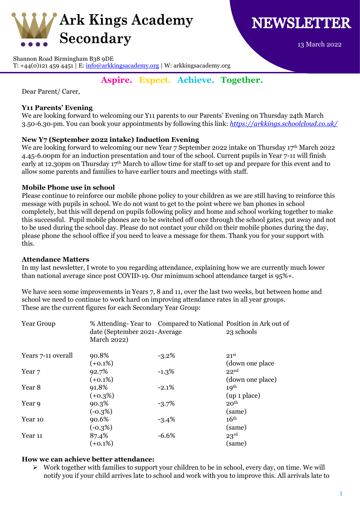



13 March 2022

Shannon Road Birmingham B38 9DE

T: +44(0)121 459 4451 | E:  $\frac{info@arkkingsacademy.org}{info@arkkingsacademy.org}$  | W: arkkingsacademy.org

# **Aspire. Expect. Achieve. Together.**

Dear Parent/ Carer,

## **Y11 Parents' Evening**

We are looking forward to welcoming our Y11 parents to our Parents' Evening on Thursday 24th March 3.50-6.30-pm. You can book your appointments by following this link: *<https://arkkings.schoolcloud.co.uk/>*

## **New Y7 (September 2022 intake) Induction Evening**

We are looking forward to welcoming our new Year 7 September 2022 intake on Thursday 17th March 2022 4.45-6.00pm for an induction presentation and tour of the school. Current pupils in Year 7-11 will finish early at 12.30pm on Thursday 17<sup>th</sup> March to allow time for staff to set up and prepare for this event and to allow some parents and families to have earlier tours and meetings with staff.

## **Mobile Phone use in school**

Please continue to reinforce our mobile phone policy to your children as we are still having to reinforce this message with pupils in school. We do not want to get to the point where we ban phones in school completely, but this will depend on pupils following policy and home and school working together to make this successful. Pupil mobile phones are to be switched off once through the school gates, put away and not to be used during the school day. Please do not contact your child on their mobile phones during the day, please phone the school office if you need to leave a message for them. Thank you for your support with this.

## **Attendance Matters**

In my last newsletter, I wrote to you regarding attendance, explaining how we are currently much lower than national average since post COVID-19. Our minimum school attendance target is 95%+.

We have seen some improvements in Years 7, 8 and 11, over the last two weeks, but between home and school we need to continue to work hard on improving attendance rates in all year groups. These are the current figures for each Secondary Year Group:

| Year Group         | date (September 2021-Average)<br>March 2022) | % Attending-Year to Compared to National Position in Ark out of | 23 schools       |
|--------------------|----------------------------------------------|-----------------------------------------------------------------|------------------|
| Years 7-11 overall | 90.8%                                        | $-3.2\%$                                                        | 21 <sup>st</sup> |
|                    | $(+0.1\%)$                                   |                                                                 | (down one place) |
| Year <sub>7</sub>  | 92.7%                                        | $-1.3\%$                                                        | 22 <sub>nd</sub> |
|                    | $(+0.1\%)$                                   |                                                                 | (down one place) |
| Year 8             | 91.8%                                        | $-2.1%$                                                         | 10 <sup>th</sup> |
|                    | $(+0.3%)$                                    |                                                                 | (up 1 place)     |
| Year 9             | 90.3%                                        | $-3.7\%$                                                        | 20 <sup>th</sup> |
|                    | $(-0.3%)$                                    |                                                                 | (same)           |
| Year 10            | 90.6%                                        | $-3.4\%$                                                        | 16 <sup>th</sup> |
|                    | $(-0.3\%)$                                   |                                                                 | (same)           |
| Year 11            | 87.4%                                        | $-6.6%$                                                         | 23 <sup>rd</sup> |
|                    | $(+0.1\%)$                                   |                                                                 | (same)           |

## **How we can achieve better attendance:**

➢ Work together with families to support your children to be in school, every day, on time. We will notify you if your child arrives late to school and work with you to improve this. All arrivals late to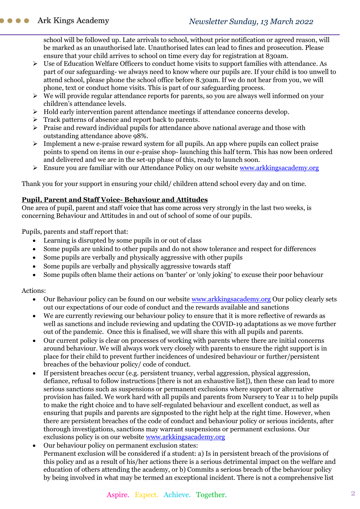school will be followed up. Late arrivals to school, without prior notification or agreed reason, will be marked as an unauthorised late. Unauthorised lates can lead to fines and prosecution. Please ensure that your child arrives to school on time every day for registration at 830am.

- ➢ Use of Education Welfare Officers to conduct home visits to support families with attendance. As part of our safeguarding- we always need to know where our pupils are. If your child is too unwell to attend school, please phone the school office before 8.30am. If we do not hear from you, we will phone, text or conduct home visits. This is part of our safeguarding process.
- ➢ We will provide regular attendance reports for parents, so you are always well informed on your children's attendance levels.
- ➢ Hold early intervention parent attendance meetings if attendance concerns develop.
- ➢ Track patterns of absence and report back to parents.
- ➢ Praise and reward individual pupils for attendance above national average and those with outstanding attendance above 98%.
- $\triangleright$  Implement a new e-praise reward system for all pupils. An app where pupils can collect praise points to spend on items in our e-praise shop- launching this half term. This has now been ordered and delivered and we are in the set-up phase of this, ready to launch soon.
- ➢ Ensure you are familiar with our Attendance Policy on our website [www.arkkingsacademy.org](http://www.arkkingsacademy.org/)

Thank you for your support in ensuring your child/ children attend school every day and on time.

## **Pupil, Parent and Staff Voice- Behaviour and Attitudes**

One area of pupil, parent and staff voice that has come across very strongly in the last two weeks, is concerning Behaviour and Attitudes in and out of school of some of our pupils.

Pupils, parents and staff report that:

- Learning is disrupted by some pupils in or out of class
- Some pupils are unkind to other pupils and do not show tolerance and respect for differences
- Some pupils are verbally and physically aggressive with other pupils
- Some pupils are verbally and physically aggressive towards staff
- Some pupils often blame their actions on 'banter' or 'only joking' to excuse their poor behaviour

## Actions:

- Our Behaviour policy can be found on our website [www.arkkingsacademy.org](http://www.arkkingsacademy.org/) Our policy clearly sets out our expectations of our code of conduct and the rewards available and sanctions
- We are currently reviewing our behaviour policy to ensure that it is more reflective of rewards as well as sanctions and include reviewing and updating the COVID-19 adaptations as we move further out of the pandemic. Once this is finalised, we will share this with all pupils and parents.
- Our current policy is clear on processes of working with parents where there are initial concerns around behaviour. We will always work very closely with parents to ensure the right support is in place for their child to prevent further incidences of undesired behaviour or further/persistent breaches of the behaviour policy/ code of conduct.
- If persistent breaches occur (e.g. persistent truancy, verbal aggression, physical aggression, defiance, refusal to follow instructions [there is not an exhaustive list]), then these can lead to more serious sanctions such as suspensions or permanent exclusions where support or alternative provision has failed. We work hard with all pupils and parents from Nursery to Year 11 to help pupils to make the right choice and to have self-regulated behaviour and excellent conduct, as well as ensuring that pupils and parents are signposted to the right help at the right time. However, when there are persistent breaches of the code of conduct and behaviour policy or serious incidents, after thorough investigations, sanctions may warrant suspensions or permanent exclusions. Our exclusions policy is on our website [www.arkkingsacademy.org](http://www.arkkingsacademy.org/)
- Our behaviour policy on permanent exclusion states: Permanent exclusion will be considered if a student: a) Is in persistent breach of the provisions of this policy and as a result of his/her actions there is a serious detrimental impact on the welfare and education of others attending the academy, or b) Commits a serious breach of the behaviour policy by being involved in what may be termed an exceptional incident. There is not a comprehensive list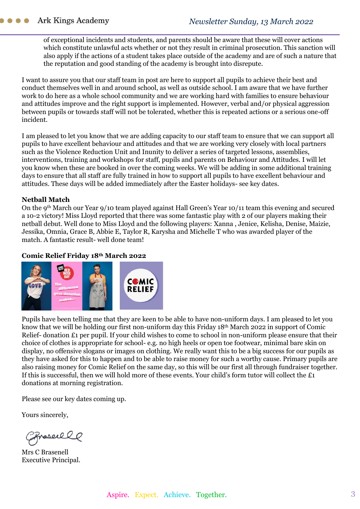of exceptional incidents and students, and parents should be aware that these will cover actions which constitute unlawful acts whether or not they result in criminal prosecution. This sanction will also apply if the actions of a student takes place outside of the academy and are of such a nature that the reputation and good standing of the academy is brought into disrepute.

I want to assure you that our staff team in post are here to support all pupils to achieve their best and conduct themselves well in and around school, as well as outside school. I am aware that we have further work to do here as a whole school community and we are working hard with families to ensure behaviour and attitudes improve and the right support is implemented. However, verbal and/or physical aggression between pupils or towards staff will not be tolerated, whether this is repeated actions or a serious one-off incident.

I am pleased to let you know that we are adding capacity to our staff team to ensure that we can support all pupils to have excellent behaviour and attitudes and that we are working very closely with local partners such as the Violence Reduction Unit and Inunity to deliver a series of targeted lessons, assemblies, interventions, training and workshops for staff, pupils and parents on Behaviour and Attitudes. I will let you know when these are booked in over the coming weeks. We will be adding in some additional training days to ensure that all staff are fully trained in how to support all pupils to have excellent behaviour and attitudes. These days will be added immediately after the Easter holidays- see key dates.

#### **Netball Match**

On the 9th March our Year 9/10 team played against Hall Green's Year 10/11 team this evening and secured a 10-2 victory! Miss Lloyd reported that there was some fantastic play with 2 of our players making their netball debut. Well done to Miss Lloyd and the following players: Xanna , Jenice, Kelisha, Denise, Maizie, Jessika, Omnia, Grace B, Abbie E, Taylor R, Karysha and Michelle T who was awarded player of the match. A fantastic result- well done team!

## **Comic Relief Friday 18th March 2022**



Pupils have been telling me that they are keen to be able to have non-uniform days. I am pleased to let you know that we will be holding our first non-uniform day this Friday 18th March 2022 in support of Comic Relief- donation £1 per pupil. If your child wishes to come to school in non-uniform please ensure that their choice of clothes is appropriate for school- e.g. no high heels or open toe footwear, minimal bare skin on display, no offensive slogans or images on clothing. We really want this to be a big success for our pupils as they have asked for this to happen and to be able to raise money for such a worthy cause. Primary pupils are also raising money for Comic Relief on the same day, so this will be our first all through fundraiser together. If this is successful, then we will hold more of these events. Your child's form tutor will collect the £1 donations at morning registration.

Please see our key dates coming up.

Yours sincerely,

Preserell

Mrs C Brasenell Executive Principal.